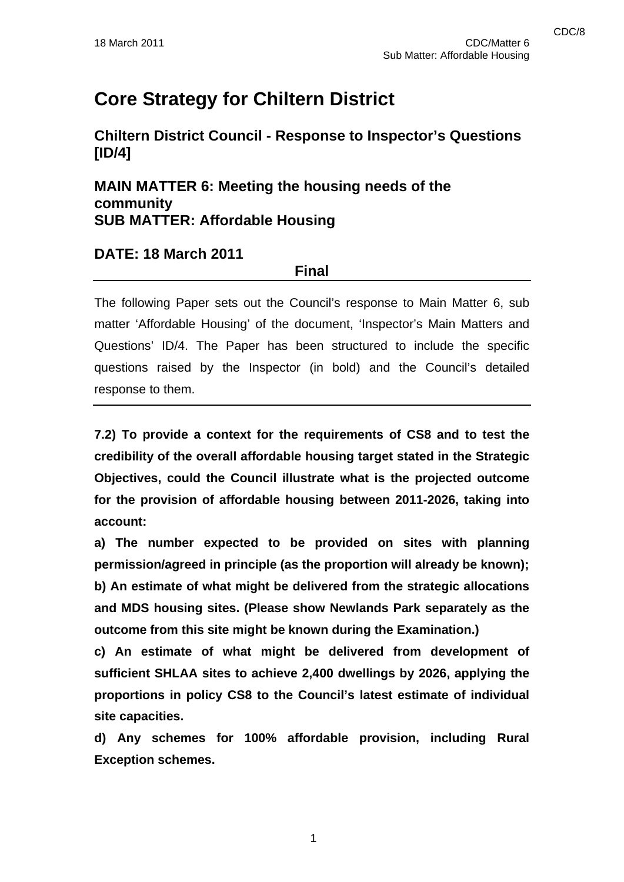# **Core Strategy for Chiltern District**

**Chiltern District Council - Response to Inspector's Questions [ID/4]** 

**MAIN MATTER 6: Meeting the housing needs of the community SUB MATTER: Affordable Housing** 

### **DATE: 18 March 2011**

**Final** 

The following Paper sets out the Council's response to Main Matter 6, sub matter 'Affordable Housing' of the document, 'Inspector's Main Matters and Questions' ID/4. The Paper has been structured to include the specific questions raised by the Inspector (in bold) and the Council's detailed response to them.

**7.2) To provide a context for the requirements of CS8 and to test the credibility of the overall affordable housing target stated in the Strategic Objectives, could the Council illustrate what is the projected outcome for the provision of affordable housing between 2011-2026, taking into account:** 

**a) The number expected to be provided on sites with planning permission/agreed in principle (as the proportion will already be known); b) An estimate of what might be delivered from the strategic allocations and MDS housing sites. (Please show Newlands Park separately as the outcome from this site might be known during the Examination.)** 

**c) An estimate of what might be delivered from development of sufficient SHLAA sites to achieve 2,400 dwellings by 2026, applying the proportions in policy CS8 to the Council's latest estimate of individual site capacities.** 

**d) Any schemes for 100% affordable provision, including Rural Exception schemes.**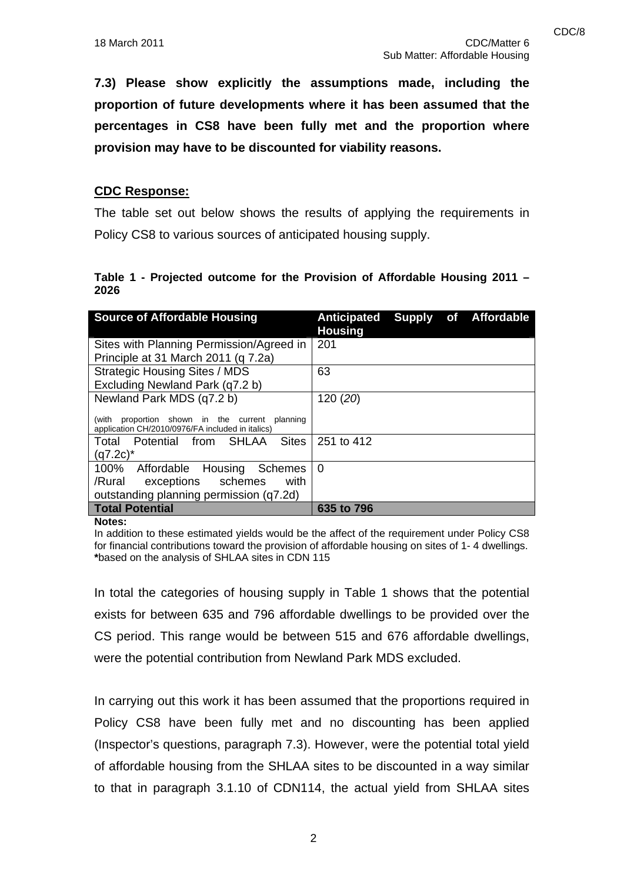**7.3) Please show explicitly the assumptions made, including the proportion of future developments where it has been assumed that the percentages in CS8 have been fully met and the proportion where provision may have to be discounted for viability reasons.** 

#### **CDC Response:**

The table set out below shows the results of applying the requirements in Policy CS8 to various sources of anticipated housing supply.

#### **Table 1 - Projected outcome for the Provision of Affordable Housing 2011 – 2026**

| <b>Source of Affordable Housing</b>                                                                      | Anticipated Supply of Affordable<br><b>Housing</b> |  |  |
|----------------------------------------------------------------------------------------------------------|----------------------------------------------------|--|--|
| Sites with Planning Permission/Agreed in                                                                 | 201                                                |  |  |
| Principle at 31 March 2011 (g 7.2a)                                                                      |                                                    |  |  |
| <b>Strategic Housing Sites / MDS</b>                                                                     | 63                                                 |  |  |
| Excluding Newland Park (q7.2 b)                                                                          |                                                    |  |  |
| Newland Park MDS (q7.2 b)                                                                                | 120 (20)                                           |  |  |
| proportion shown in the current<br>(with<br>planning<br>application CH/2010/0976/FA included in italics) |                                                    |  |  |
| <b>Sites</b><br>Total Potential from SHLAA                                                               | 251 to 412                                         |  |  |
| $(q7.2c)^*$                                                                                              |                                                    |  |  |
| 100% Affordable Housing Schemes                                                                          | 0                                                  |  |  |
| /Rural exceptions schemes<br>with                                                                        |                                                    |  |  |
| outstanding planning permission (q7.2d)                                                                  |                                                    |  |  |
| <b>Total Potential</b>                                                                                   | 635 to 796                                         |  |  |

**Notes:** 

In addition to these estimated yields would be the affect of the requirement under Policy CS8 for financial contributions toward the provision of affordable housing on sites of 1- 4 dwellings. **\***based on the analysis of SHLAA sites in CDN 115

In total the categories of housing supply in Table 1 shows that the potential exists for between 635 and 796 affordable dwellings to be provided over the CS period. This range would be between 515 and 676 affordable dwellings, were the potential contribution from Newland Park MDS excluded.

In carrying out this work it has been assumed that the proportions required in Policy CS8 have been fully met and no discounting has been applied (Inspector's questions, paragraph 7.3). However, were the potential total yield of affordable housing from the SHLAA sites to be discounted in a way similar to that in paragraph 3.1.10 of CDN114, the actual yield from SHLAA sites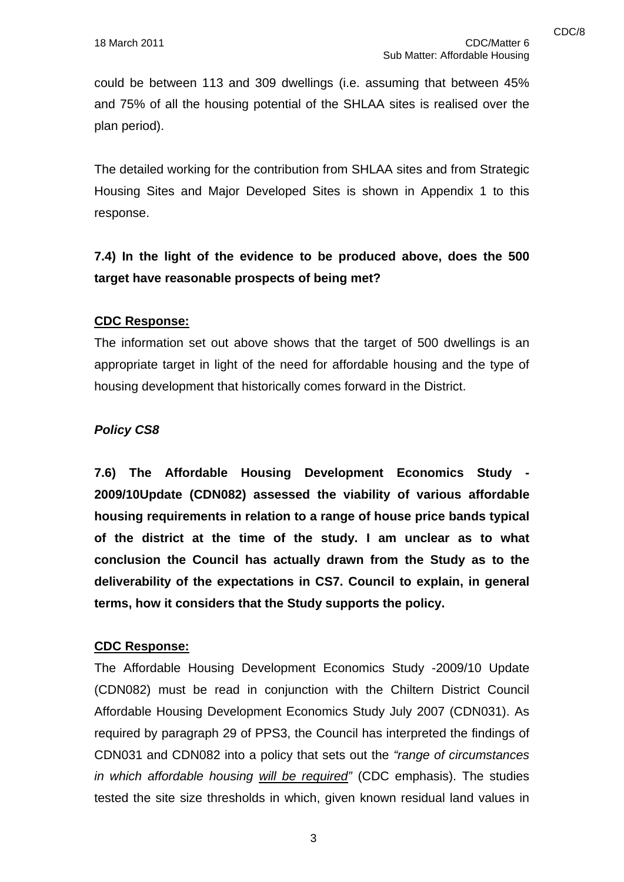could be between 113 and 309 dwellings (i.e. assuming that between 45% and 75% of all the housing potential of the SHLAA sites is realised over the plan period).

The detailed working for the contribution from SHLAA sites and from Strategic Housing Sites and Major Developed Sites is shown in Appendix 1 to this response.

**7.4) In the light of the evidence to be produced above, does the 500 target have reasonable prospects of being met?** 

#### **CDC Response:**

The information set out above shows that the target of 500 dwellings is an appropriate target in light of the need for affordable housing and the type of housing development that historically comes forward in the District.

#### *Policy CS8*

**7.6) The Affordable Housing Development Economics Study - 2009/10Update (CDN082) assessed the viability of various affordable housing requirements in relation to a range of house price bands typical of the district at the time of the study. I am unclear as to what conclusion the Council has actually drawn from the Study as to the deliverability of the expectations in CS7. Council to explain, in general terms, how it considers that the Study supports the policy.** 

#### **CDC Response:**

The Affordable Housing Development Economics Study -2009/10 Update (CDN082) must be read in conjunction with the Chiltern District Council Affordable Housing Development Economics Study July 2007 (CDN031). As required by paragraph 29 of PPS3, the Council has interpreted the findings of CDN031 and CDN082 into a policy that sets out the *"range of circumstances in which affordable housing will be required"* (CDC emphasis). The studies tested the site size thresholds in which, given known residual land values in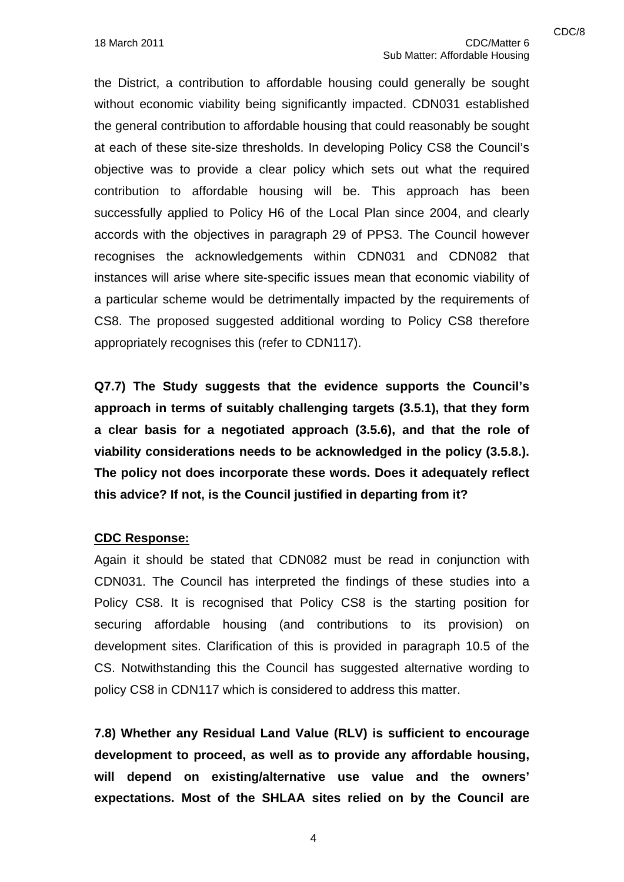the District, a contribution to affordable housing could generally be sought without economic viability being significantly impacted. CDN031 established the general contribution to affordable housing that could reasonably be sought at each of these site-size thresholds. In developing Policy CS8 the Council's objective was to provide a clear policy which sets out what the required contribution to affordable housing will be. This approach has been successfully applied to Policy H6 of the Local Plan since 2004, and clearly accords with the objectives in paragraph 29 of PPS3. The Council however recognises the acknowledgements within CDN031 and CDN082 that instances will arise where site-specific issues mean that economic viability of a particular scheme would be detrimentally impacted by the requirements of CS8. The proposed suggested additional wording to Policy CS8 therefore appropriately recognises this (refer to CDN117).

**Q7.7) The Study suggests that the evidence supports the Council's approach in terms of suitably challenging targets (3.5.1), that they form a clear basis for a negotiated approach (3.5.6), and that the role of viability considerations needs to be acknowledged in the policy (3.5.8.). The policy not does incorporate these words. Does it adequately reflect this advice? If not, is the Council justified in departing from it?** 

#### **CDC Response:**

Again it should be stated that CDN082 must be read in conjunction with CDN031. The Council has interpreted the findings of these studies into a Policy CS8. It is recognised that Policy CS8 is the starting position for securing affordable housing (and contributions to its provision) on development sites. Clarification of this is provided in paragraph 10.5 of the CS. Notwithstanding this the Council has suggested alternative wording to policy CS8 in CDN117 which is considered to address this matter.

**7.8) Whether any Residual Land Value (RLV) is sufficient to encourage development to proceed, as well as to provide any affordable housing, will depend on existing/alternative use value and the owners' expectations. Most of the SHLAA sites relied on by the Council are**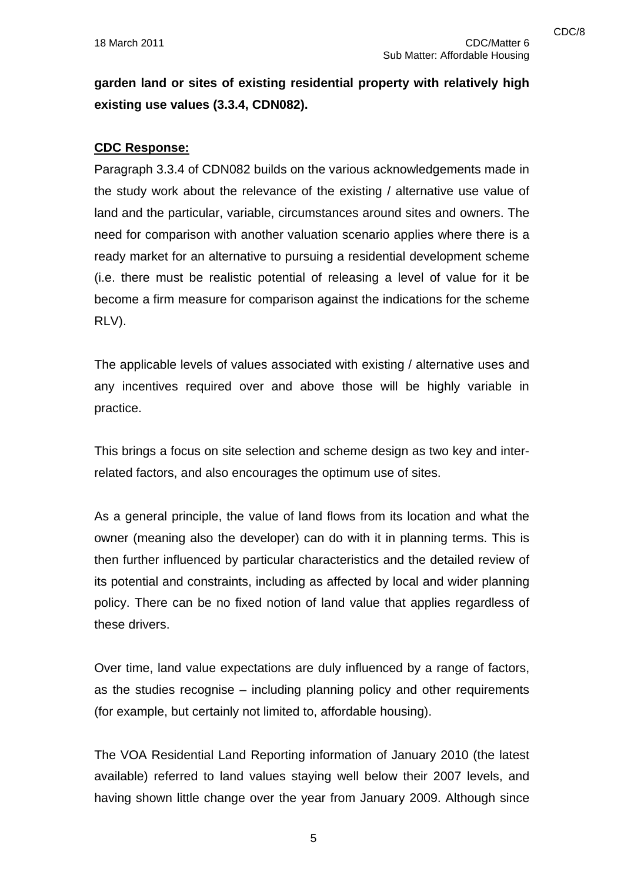**garden land or sites of existing residential property with relatively high existing use values (3.3.4, CDN082).** 

#### **CDC Response:**

Paragraph 3.3.4 of CDN082 builds on the various acknowledgements made in the study work about the relevance of the existing / alternative use value of land and the particular, variable, circumstances around sites and owners. The need for comparison with another valuation scenario applies where there is a ready market for an alternative to pursuing a residential development scheme (i.e. there must be realistic potential of releasing a level of value for it be become a firm measure for comparison against the indications for the scheme RLV).

The applicable levels of values associated with existing / alternative uses and any incentives required over and above those will be highly variable in practice.

This brings a focus on site selection and scheme design as two key and interrelated factors, and also encourages the optimum use of sites.

As a general principle, the value of land flows from its location and what the owner (meaning also the developer) can do with it in planning terms. This is then further influenced by particular characteristics and the detailed review of its potential and constraints, including as affected by local and wider planning policy. There can be no fixed notion of land value that applies regardless of these drivers.

Over time, land value expectations are duly influenced by a range of factors, as the studies recognise – including planning policy and other requirements (for example, but certainly not limited to, affordable housing).

The VOA Residential Land Reporting information of January 2010 (the latest available) referred to land values staying well below their 2007 levels, and having shown little change over the year from January 2009. Although since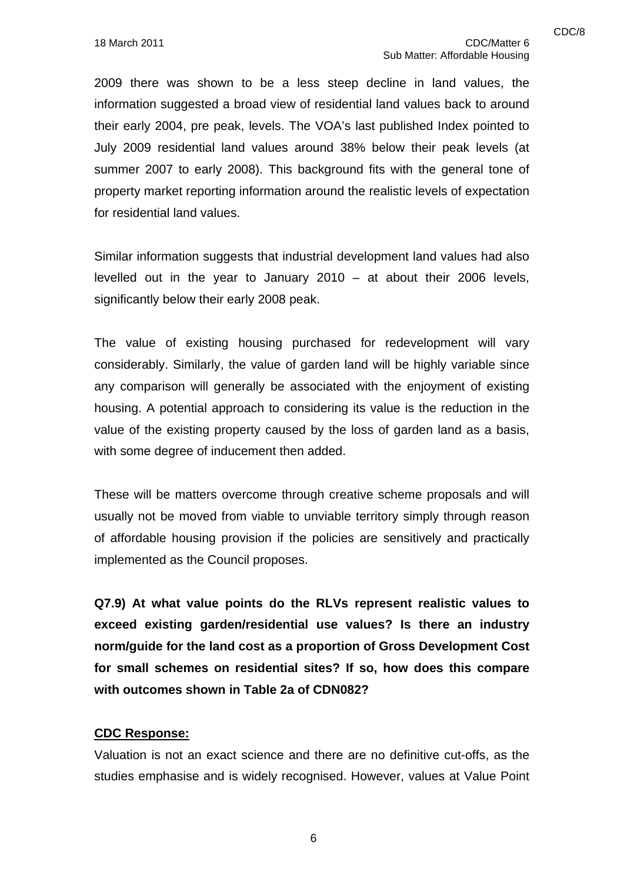2009 there was shown to be a less steep decline in land values, the information suggested a broad view of residential land values back to around their early 2004, pre peak, levels. The VOA's last published Index pointed to July 2009 residential land values around 38% below their peak levels (at summer 2007 to early 2008). This background fits with the general tone of property market reporting information around the realistic levels of expectation for residential land values.

Similar information suggests that industrial development land values had also levelled out in the year to January 2010 – at about their 2006 levels, significantly below their early 2008 peak.

The value of existing housing purchased for redevelopment will vary considerably. Similarly, the value of garden land will be highly variable since any comparison will generally be associated with the enjoyment of existing housing. A potential approach to considering its value is the reduction in the value of the existing property caused by the loss of garden land as a basis, with some degree of inducement then added.

These will be matters overcome through creative scheme proposals and will usually not be moved from viable to unviable territory simply through reason of affordable housing provision if the policies are sensitively and practically implemented as the Council proposes.

**Q7.9) At what value points do the RLVs represent realistic values to exceed existing garden/residential use values? Is there an industry norm/guide for the land cost as a proportion of Gross Development Cost for small schemes on residential sites? If so, how does this compare with outcomes shown in Table 2a of CDN082?**

#### **CDC Response:**

Valuation is not an exact science and there are no definitive cut-offs, as the studies emphasise and is widely recognised. However, values at Value Point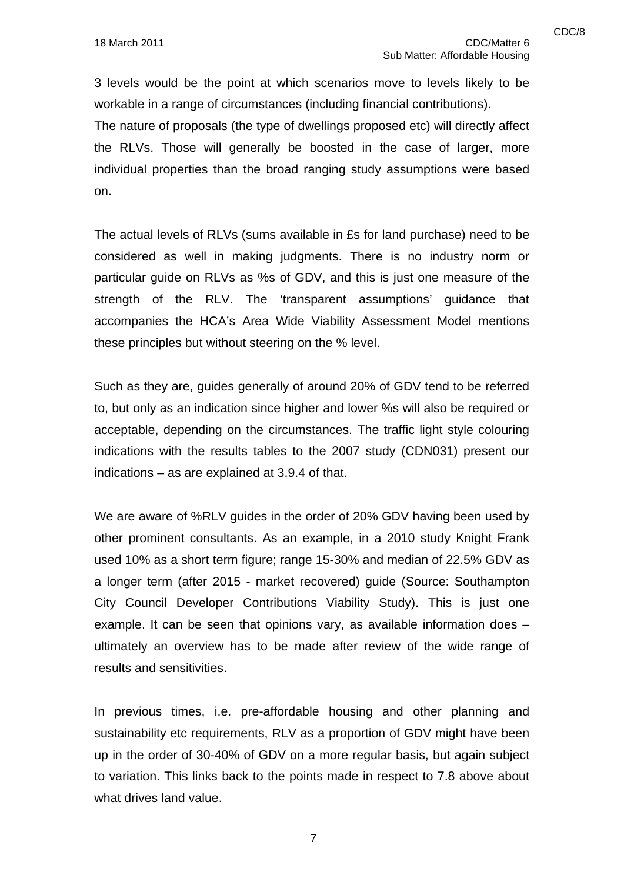3 levels would be the point at which scenarios move to levels likely to be workable in a range of circumstances (including financial contributions).

The nature of proposals (the type of dwellings proposed etc) will directly affect the RLVs. Those will generally be boosted in the case of larger, more individual properties than the broad ranging study assumptions were based on.

The actual levels of RLVs (sums available in £s for land purchase) need to be considered as well in making judgments. There is no industry norm or particular guide on RLVs as %s of GDV, and this is just one measure of the strength of the RLV. The 'transparent assumptions' guidance that accompanies the HCA's Area Wide Viability Assessment Model mentions these principles but without steering on the % level.

Such as they are, guides generally of around 20% of GDV tend to be referred to, but only as an indication since higher and lower %s will also be required or acceptable, depending on the circumstances. The traffic light style colouring indications with the results tables to the 2007 study (CDN031) present our indications – as are explained at 3.9.4 of that.

We are aware of %RLV guides in the order of 20% GDV having been used by other prominent consultants. As an example, in a 2010 study Knight Frank used 10% as a short term figure; range 15-30% and median of 22.5% GDV as a longer term (after 2015 - market recovered) guide (Source: Southampton City Council Developer Contributions Viability Study). This is just one example. It can be seen that opinions vary, as available information does – ultimately an overview has to be made after review of the wide range of results and sensitivities.

In previous times, i.e. pre-affordable housing and other planning and sustainability etc requirements, RLV as a proportion of GDV might have been up in the order of 30-40% of GDV on a more regular basis, but again subject to variation. This links back to the points made in respect to 7.8 above about what drives land value.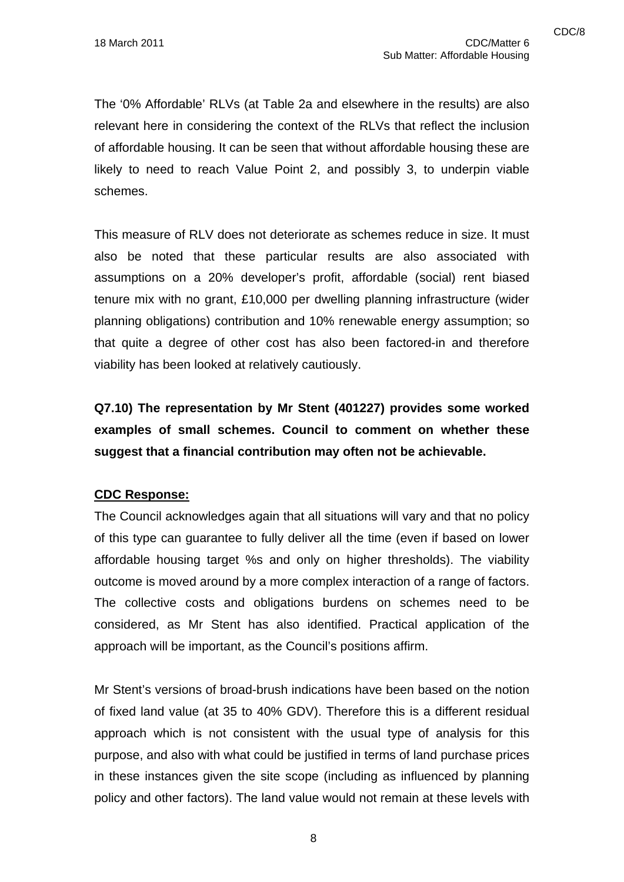The '0% Affordable' RLVs (at Table 2a and elsewhere in the results) are also relevant here in considering the context of the RLVs that reflect the inclusion of affordable housing. It can be seen that without affordable housing these are likely to need to reach Value Point 2, and possibly 3, to underpin viable schemes.

This measure of RLV does not deteriorate as schemes reduce in size. It must also be noted that these particular results are also associated with assumptions on a 20% developer's profit, affordable (social) rent biased tenure mix with no grant, £10,000 per dwelling planning infrastructure (wider planning obligations) contribution and 10% renewable energy assumption; so that quite a degree of other cost has also been factored-in and therefore viability has been looked at relatively cautiously.

**Q7.10) The representation by Mr Stent (401227) provides some worked examples of small schemes. Council to comment on whether these suggest that a financial contribution may often not be achievable.** 

#### **CDC Response:**

The Council acknowledges again that all situations will vary and that no policy of this type can guarantee to fully deliver all the time (even if based on lower affordable housing target %s and only on higher thresholds). The viability outcome is moved around by a more complex interaction of a range of factors. The collective costs and obligations burdens on schemes need to be considered, as Mr Stent has also identified. Practical application of the approach will be important, as the Council's positions affirm.

Mr Stent's versions of broad-brush indications have been based on the notion of fixed land value (at 35 to 40% GDV). Therefore this is a different residual approach which is not consistent with the usual type of analysis for this purpose, and also with what could be justified in terms of land purchase prices in these instances given the site scope (including as influenced by planning policy and other factors). The land value would not remain at these levels with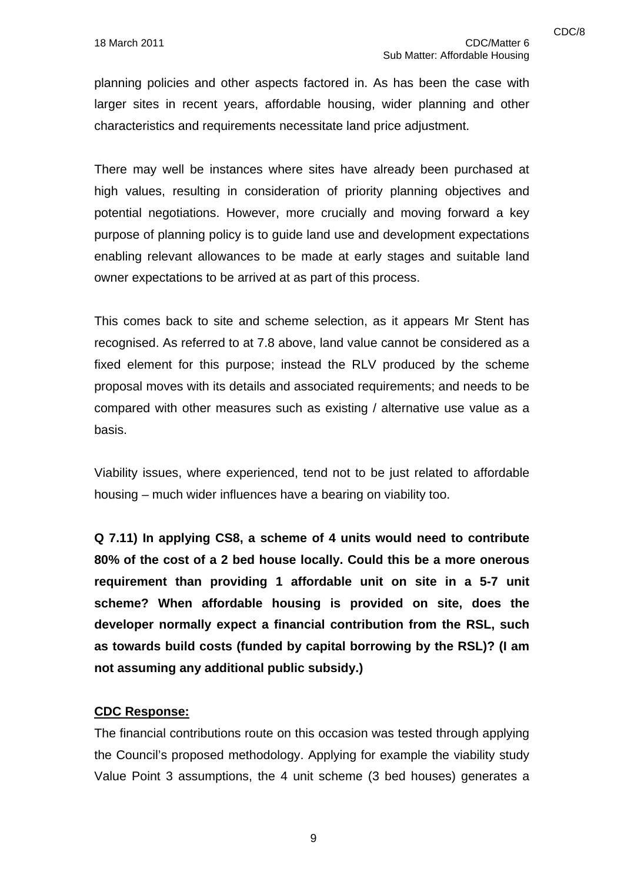planning policies and other aspects factored in. As has been the case with larger sites in recent years, affordable housing, wider planning and other characteristics and requirements necessitate land price adjustment.

There may well be instances where sites have already been purchased at high values, resulting in consideration of priority planning objectives and potential negotiations. However, more crucially and moving forward a key purpose of planning policy is to guide land use and development expectations enabling relevant allowances to be made at early stages and suitable land owner expectations to be arrived at as part of this process.

This comes back to site and scheme selection, as it appears Mr Stent has recognised. As referred to at 7.8 above, land value cannot be considered as a fixed element for this purpose; instead the RLV produced by the scheme proposal moves with its details and associated requirements; and needs to be compared with other measures such as existing / alternative use value as a basis.

Viability issues, where experienced, tend not to be just related to affordable housing – much wider influences have a bearing on viability too.

**Q 7.11) In applying CS8, a scheme of 4 units would need to contribute 80% of the cost of a 2 bed house locally. Could this be a more onerous requirement than providing 1 affordable unit on site in a 5-7 unit scheme? When affordable housing is provided on site, does the developer normally expect a financial contribution from the RSL, such as towards build costs (funded by capital borrowing by the RSL)? (I am not assuming any additional public subsidy.)** 

#### **CDC Response:**

The financial contributions route on this occasion was tested through applying the Council's proposed methodology. Applying for example the viability study Value Point 3 assumptions, the 4 unit scheme (3 bed houses) generates a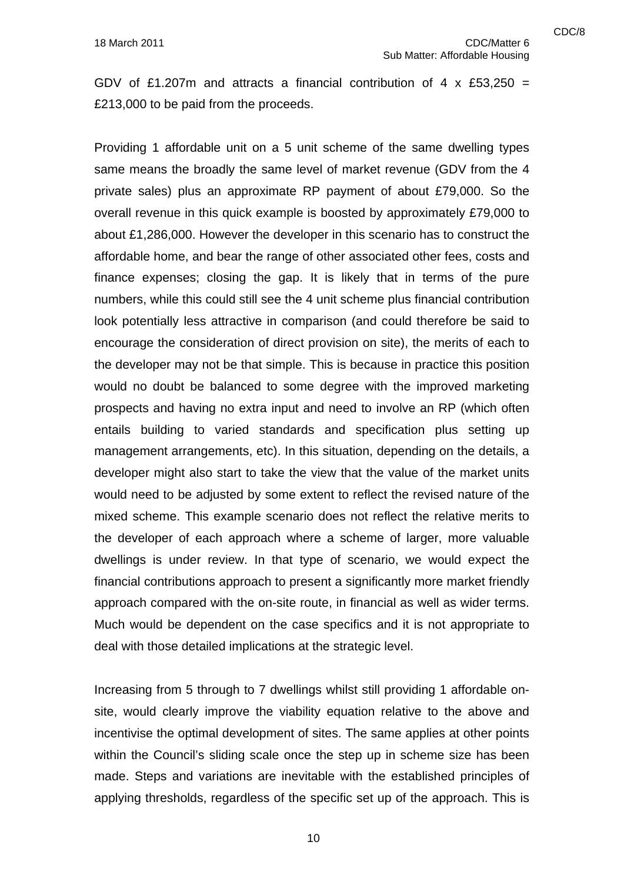GDV of £1.207m and attracts a financial contribution of 4 x £53,250 = £213,000 to be paid from the proceeds.

Providing 1 affordable unit on a 5 unit scheme of the same dwelling types same means the broadly the same level of market revenue (GDV from the 4 private sales) plus an approximate RP payment of about £79,000. So the overall revenue in this quick example is boosted by approximately £79,000 to about £1,286,000. However the developer in this scenario has to construct the affordable home, and bear the range of other associated other fees, costs and finance expenses; closing the gap. It is likely that in terms of the pure numbers, while this could still see the 4 unit scheme plus financial contribution look potentially less attractive in comparison (and could therefore be said to encourage the consideration of direct provision on site), the merits of each to the developer may not be that simple. This is because in practice this position would no doubt be balanced to some degree with the improved marketing prospects and having no extra input and need to involve an RP (which often entails building to varied standards and specification plus setting up management arrangements, etc). In this situation, depending on the details, a developer might also start to take the view that the value of the market units would need to be adjusted by some extent to reflect the revised nature of the mixed scheme. This example scenario does not reflect the relative merits to the developer of each approach where a scheme of larger, more valuable dwellings is under review. In that type of scenario, we would expect the financial contributions approach to present a significantly more market friendly approach compared with the on-site route, in financial as well as wider terms. Much would be dependent on the case specifics and it is not appropriate to deal with those detailed implications at the strategic level.

Increasing from 5 through to 7 dwellings whilst still providing 1 affordable onsite, would clearly improve the viability equation relative to the above and incentivise the optimal development of sites. The same applies at other points within the Council's sliding scale once the step up in scheme size has been made. Steps and variations are inevitable with the established principles of applying thresholds, regardless of the specific set up of the approach. This is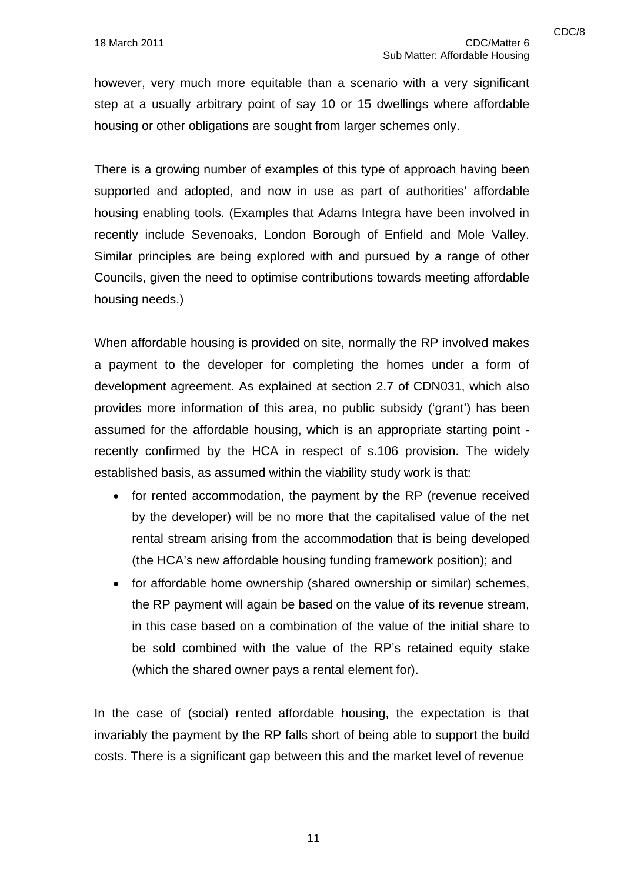however, very much more equitable than a scenario with a very significant step at a usually arbitrary point of say 10 or 15 dwellings where affordable housing or other obligations are sought from larger schemes only.

There is a growing number of examples of this type of approach having been supported and adopted, and now in use as part of authorities' affordable housing enabling tools. (Examples that Adams Integra have been involved in recently include Sevenoaks, London Borough of Enfield and Mole Valley. Similar principles are being explored with and pursued by a range of other Councils, given the need to optimise contributions towards meeting affordable housing needs.)

When affordable housing is provided on site, normally the RP involved makes a payment to the developer for completing the homes under a form of development agreement. As explained at section 2.7 of CDN031, which also provides more information of this area, no public subsidy ('grant') has been assumed for the affordable housing, which is an appropriate starting point recently confirmed by the HCA in respect of s.106 provision. The widely established basis, as assumed within the viability study work is that:

- for rented accommodation, the payment by the RP (revenue received by the developer) will be no more that the capitalised value of the net rental stream arising from the accommodation that is being developed (the HCA's new affordable housing funding framework position); and
- for affordable home ownership (shared ownership or similar) schemes, the RP payment will again be based on the value of its revenue stream, in this case based on a combination of the value of the initial share to be sold combined with the value of the RP's retained equity stake (which the shared owner pays a rental element for).

In the case of (social) rented affordable housing, the expectation is that invariably the payment by the RP falls short of being able to support the build costs. There is a significant gap between this and the market level of revenue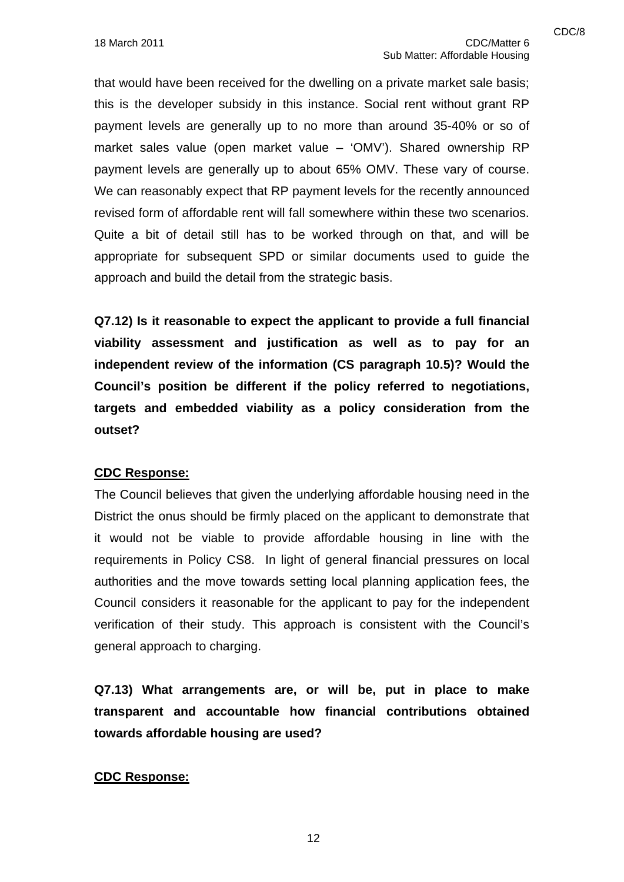that would have been received for the dwelling on a private market sale basis; this is the developer subsidy in this instance. Social rent without grant RP payment levels are generally up to no more than around 35-40% or so of market sales value (open market value – 'OMV'). Shared ownership RP payment levels are generally up to about 65% OMV. These vary of course. We can reasonably expect that RP payment levels for the recently announced revised form of affordable rent will fall somewhere within these two scenarios. Quite a bit of detail still has to be worked through on that, and will be appropriate for subsequent SPD or similar documents used to guide the approach and build the detail from the strategic basis.

**Q7.12) Is it reasonable to expect the applicant to provide a full financial viability assessment and justification as well as to pay for an independent review of the information (CS paragraph 10.5)? Would the Council's position be different if the policy referred to negotiations, targets and embedded viability as a policy consideration from the outset?** 

#### **CDC Response:**

The Council believes that given the underlying affordable housing need in the District the onus should be firmly placed on the applicant to demonstrate that it would not be viable to provide affordable housing in line with the requirements in Policy CS8. In light of general financial pressures on local authorities and the move towards setting local planning application fees, the Council considers it reasonable for the applicant to pay for the independent verification of their study. This approach is consistent with the Council's general approach to charging.

**Q7.13) What arrangements are, or will be, put in place to make transparent and accountable how financial contributions obtained towards affordable housing are used?** 

#### **CDC Response:**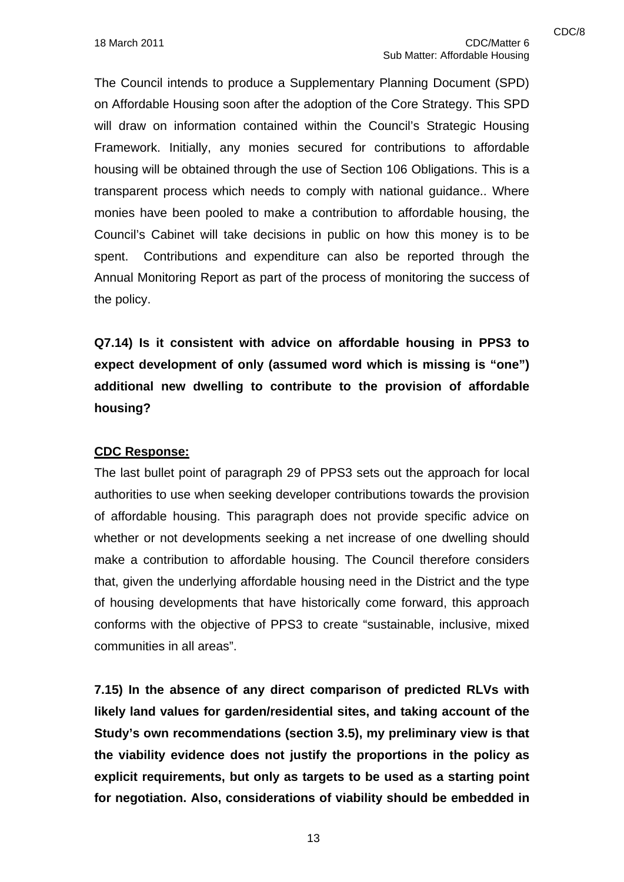The Council intends to produce a Supplementary Planning Document (SPD) on Affordable Housing soon after the adoption of the Core Strategy. This SPD will draw on information contained within the Council's Strategic Housing Framework. Initially, any monies secured for contributions to affordable housing will be obtained through the use of Section 106 Obligations. This is a transparent process which needs to comply with national guidance.. Where monies have been pooled to make a contribution to affordable housing, the Council's Cabinet will take decisions in public on how this money is to be spent. Contributions and expenditure can also be reported through the Annual Monitoring Report as part of the process of monitoring the success of the policy.

**Q7.14) Is it consistent with advice on affordable housing in PPS3 to expect development of only (assumed word which is missing is "one") additional new dwelling to contribute to the provision of affordable housing?** 

#### **CDC Response:**

The last bullet point of paragraph 29 of PPS3 sets out the approach for local authorities to use when seeking developer contributions towards the provision of affordable housing. This paragraph does not provide specific advice on whether or not developments seeking a net increase of one dwelling should make a contribution to affordable housing. The Council therefore considers that, given the underlying affordable housing need in the District and the type of housing developments that have historically come forward, this approach conforms with the objective of PPS3 to create "sustainable, inclusive, mixed communities in all areas".

**7.15) In the absence of any direct comparison of predicted RLVs with likely land values for garden/residential sites, and taking account of the Study's own recommendations (section 3.5), my preliminary view is that the viability evidence does not justify the proportions in the policy as explicit requirements, but only as targets to be used as a starting point for negotiation. Also, considerations of viability should be embedded in**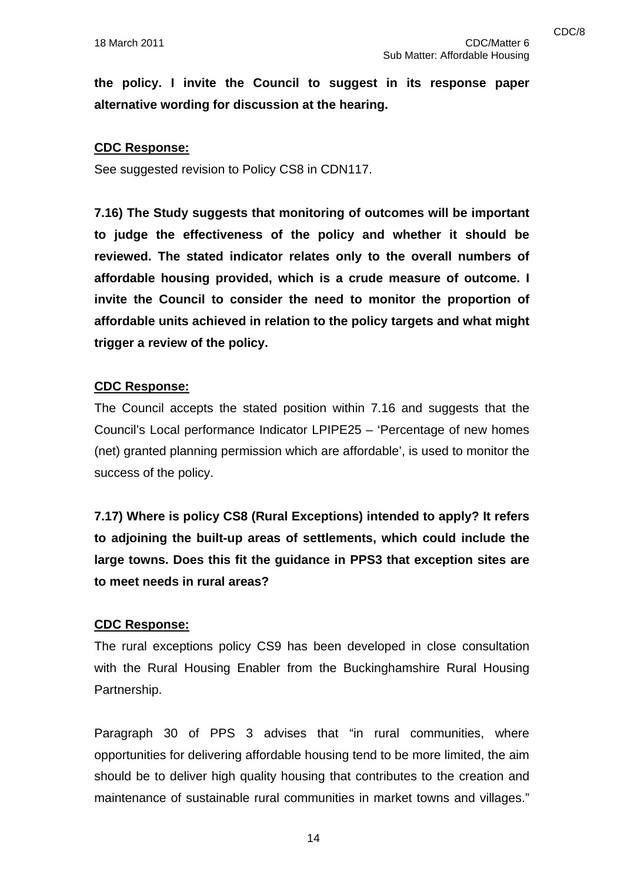**the policy. I invite the Council to suggest in its response paper alternative wording for discussion at the hearing.** 

#### **CDC Response:**

See suggested revision to Policy CS8 in CDN117.

**7.16) The Study suggests that monitoring of outcomes will be important to judge the effectiveness of the policy and whether it should be reviewed. The stated indicator relates only to the overall numbers of affordable housing provided, which is a crude measure of outcome. I invite the Council to consider the need to monitor the proportion of affordable units achieved in relation to the policy targets and what might trigger a review of the policy.** 

#### **CDC Response:**

The Council accepts the stated position within 7.16 and suggests that the Council's Local performance Indicator LPIPE25 – 'Percentage of new homes (net) granted planning permission which are affordable', is used to monitor the success of the policy.

**7.17) Where is policy CS8 (Rural Exceptions) intended to apply? It refers to adjoining the built-up areas of settlements, which could include the large towns. Does this fit the guidance in PPS3 that exception sites are to meet needs in rural areas?** 

#### **CDC Response:**

The rural exceptions policy CS9 has been developed in close consultation with the Rural Housing Enabler from the Buckinghamshire Rural Housing Partnership.

Paragraph 30 of PPS 3 advises that "in rural communities, where opportunities for delivering affordable housing tend to be more limited, the aim should be to deliver high quality housing that contributes to the creation and maintenance of sustainable rural communities in market towns and villages."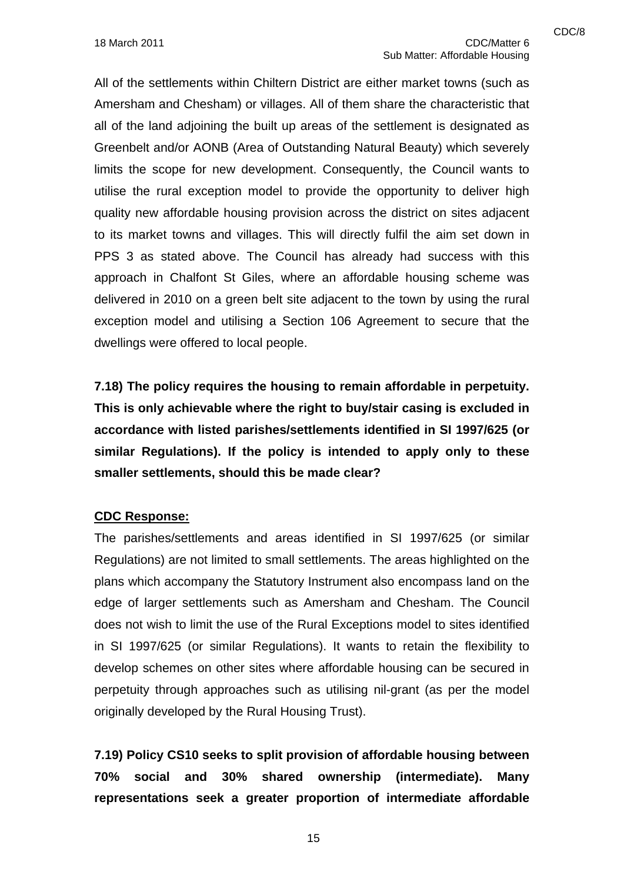All of the settlements within Chiltern District are either market towns (such as Amersham and Chesham) or villages. All of them share the characteristic that all of the land adjoining the built up areas of the settlement is designated as Greenbelt and/or AONB (Area of Outstanding Natural Beauty) which severely limits the scope for new development. Consequently, the Council wants to utilise the rural exception model to provide the opportunity to deliver high quality new affordable housing provision across the district on sites adjacent to its market towns and villages. This will directly fulfil the aim set down in PPS 3 as stated above. The Council has already had success with this approach in Chalfont St Giles, where an affordable housing scheme was delivered in 2010 on a green belt site adjacent to the town by using the rural exception model and utilising a Section 106 Agreement to secure that the dwellings were offered to local people.

**7.18) The policy requires the housing to remain affordable in perpetuity. This is only achievable where the right to buy/stair casing is excluded in accordance with listed parishes/settlements identified in SI 1997/625 (or similar Regulations). If the policy is intended to apply only to these smaller settlements, should this be made clear?** 

#### **CDC Response:**

The parishes/settlements and areas identified in SI 1997/625 (or similar Regulations) are not limited to small settlements. The areas highlighted on the plans which accompany the Statutory Instrument also encompass land on the edge of larger settlements such as Amersham and Chesham. The Council does not wish to limit the use of the Rural Exceptions model to sites identified in SI 1997/625 (or similar Regulations). It wants to retain the flexibility to develop schemes on other sites where affordable housing can be secured in perpetuity through approaches such as utilising nil-grant (as per the model originally developed by the Rural Housing Trust).

**7.19) Policy CS10 seeks to split provision of affordable housing between 70% social and 30% shared ownership (intermediate). Many representations seek a greater proportion of intermediate affordable**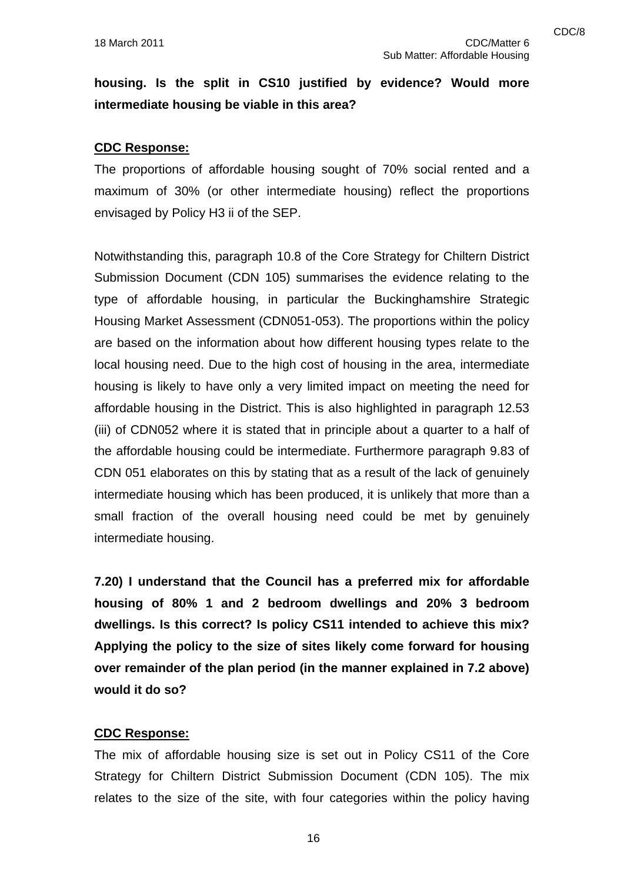## **housing. Is the split in CS10 justified by evidence? Would more intermediate housing be viable in this area?**

#### **CDC Response:**

The proportions of affordable housing sought of 70% social rented and a maximum of 30% (or other intermediate housing) reflect the proportions envisaged by Policy H3 ii of the SEP.

Notwithstanding this, paragraph 10.8 of the Core Strategy for Chiltern District Submission Document (CDN 105) summarises the evidence relating to the type of affordable housing, in particular the Buckinghamshire Strategic Housing Market Assessment (CDN051-053). The proportions within the policy are based on the information about how different housing types relate to the local housing need. Due to the high cost of housing in the area, intermediate housing is likely to have only a very limited impact on meeting the need for affordable housing in the District. This is also highlighted in paragraph 12.53 (iii) of CDN052 where it is stated that in principle about a quarter to a half of the affordable housing could be intermediate. Furthermore paragraph 9.83 of CDN 051 elaborates on this by stating that as a result of the lack of genuinely intermediate housing which has been produced, it is unlikely that more than a small fraction of the overall housing need could be met by genuinely intermediate housing.

**7.20) I understand that the Council has a preferred mix for affordable housing of 80% 1 and 2 bedroom dwellings and 20% 3 bedroom dwellings. Is this correct? Is policy CS11 intended to achieve this mix? Applying the policy to the size of sites likely come forward for housing over remainder of the plan period (in the manner explained in 7.2 above) would it do so?** 

#### **CDC Response:**

The mix of affordable housing size is set out in Policy CS11 of the Core Strategy for Chiltern District Submission Document (CDN 105). The mix relates to the size of the site, with four categories within the policy having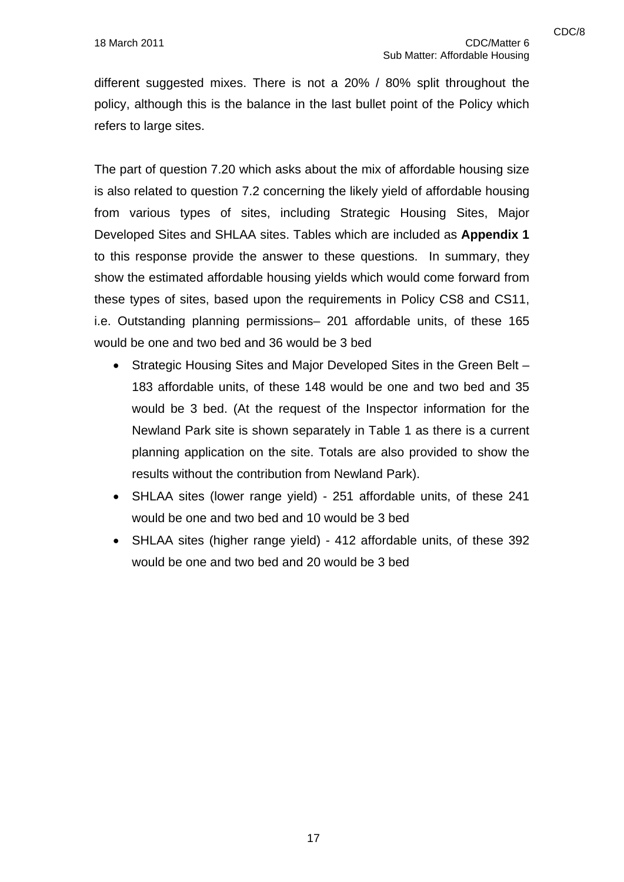refers to large sites.

different suggested mixes. There is not a 20% / 80% split throughout the policy, although this is the balance in the last bullet point of the Policy which

The part of question 7.20 which asks about the mix of affordable housing size is also related to question 7.2 concerning the likely yield of affordable housing from various types of sites, including Strategic Housing Sites, Major Developed Sites and SHLAA sites. Tables which are included as **Appendix 1** to this response provide the answer to these questions. In summary, they show the estimated affordable housing yields which would come forward from these types of sites, based upon the requirements in Policy CS8 and CS11, i.e. Outstanding planning permissions– 201 affordable units, of these 165 would be one and two bed and 36 would be 3 bed

- Strategic Housing Sites and Major Developed Sites in the Green Belt 183 affordable units, of these 148 would be one and two bed and 35 would be 3 bed. (At the request of the Inspector information for the Newland Park site is shown separately in Table 1 as there is a current planning application on the site. Totals are also provided to show the results without the contribution from Newland Park).
- SHLAA sites (lower range yield) 251 affordable units, of these 241 would be one and two bed and 10 would be 3 bed
- SHLAA sites (higher range yield) 412 affordable units, of these 392 would be one and two bed and 20 would be 3 bed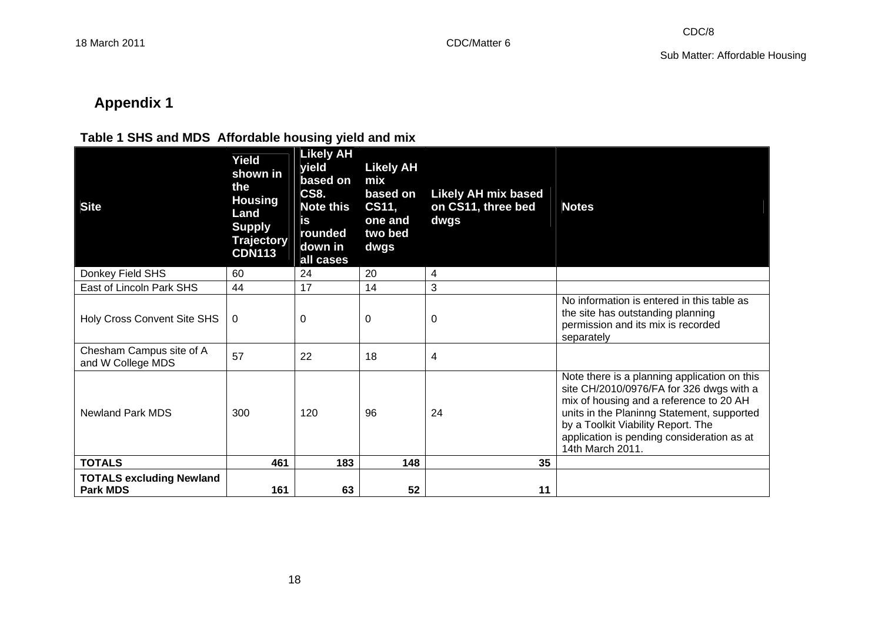# **Appendix 1**

### **Table 1 SHS and MDS Affordable housing yield and mix**

| <b>Site</b>                                        | Yield<br>shown in<br>the<br><b>Housing</b><br>Land<br><b>Supply</b><br><b>Trajectory</b><br><b>CDN113</b> | <b>Likely AH</b><br>yield<br>based on<br><b>CS8.</b><br><b>Note this</b><br>is<br>rounded<br>down in<br>all cases | <b>Likely AH</b><br>mix<br>based on<br>CS11,<br>one and<br>two bed<br>dwgs | <b>Likely AH mix based</b><br>on CS11, three bed<br>dwgs | <b>Notes</b>                                                                                                                                                                                                                                                                              |
|----------------------------------------------------|-----------------------------------------------------------------------------------------------------------|-------------------------------------------------------------------------------------------------------------------|----------------------------------------------------------------------------|----------------------------------------------------------|-------------------------------------------------------------------------------------------------------------------------------------------------------------------------------------------------------------------------------------------------------------------------------------------|
| Donkey Field SHS                                   | 60                                                                                                        | 24                                                                                                                | 20                                                                         | 4                                                        |                                                                                                                                                                                                                                                                                           |
| East of Lincoln Park SHS                           | 44                                                                                                        | 17                                                                                                                | 14                                                                         | 3                                                        |                                                                                                                                                                                                                                                                                           |
| Holy Cross Convent Site SHS                        | 0                                                                                                         | 0                                                                                                                 | 0                                                                          | 0                                                        | No information is entered in this table as<br>the site has outstanding planning<br>permission and its mix is recorded<br>separately                                                                                                                                                       |
| Chesham Campus site of A<br>and W College MDS      | 57                                                                                                        | 22                                                                                                                | 18                                                                         | 4                                                        |                                                                                                                                                                                                                                                                                           |
| Newland Park MDS                                   | 300                                                                                                       | 120                                                                                                               | 96                                                                         | 24                                                       | Note there is a planning application on this<br>site CH/2010/0976/FA for 326 dwgs with a<br>mix of housing and a reference to 20 AH<br>units in the Planinng Statement, supported<br>by a Toolkit Viability Report. The<br>application is pending consideration as at<br>14th March 2011. |
| <b>TOTALS</b>                                      | 461                                                                                                       | 183                                                                                                               | 148                                                                        | 35                                                       |                                                                                                                                                                                                                                                                                           |
| <b>TOTALS excluding Newland</b><br><b>Park MDS</b> | 161                                                                                                       | 63                                                                                                                | 52                                                                         | 11                                                       |                                                                                                                                                                                                                                                                                           |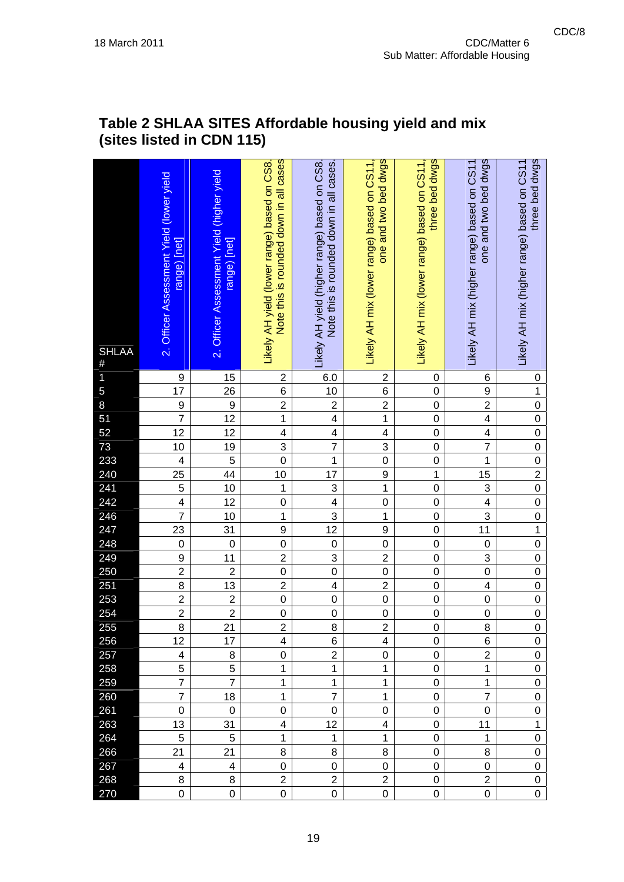| <b>SHLAA</b><br>$\#$                 | 2. Officer Assessment Yield (lower yield<br>range) [net] | 2. Officer Assessment Yield (higher yield<br>range) [net] | Note this is rounded down in all cases<br>Likely AH yield (lower range) based on CS8. | Likely AH yield (higher range) based on CS8.<br>Note this is rounded down in all cases. | one and two bed dwgs<br>Likely AH mix (lower range) based on CS11 | three bed dwgs<br>Likely AH mix (lower range) based on CS11 | one and two bed dwgs<br>Likely AH mix (higher range) based on CS11 | three bed dwgs<br>Likely AH mix (higher range) based on CS11 |
|--------------------------------------|----------------------------------------------------------|-----------------------------------------------------------|---------------------------------------------------------------------------------------|-----------------------------------------------------------------------------------------|-------------------------------------------------------------------|-------------------------------------------------------------|--------------------------------------------------------------------|--------------------------------------------------------------|
| 1                                    | 9                                                        | 15                                                        | $\overline{2}$                                                                        | 6.0                                                                                     | $\overline{\mathbf{c}}$                                           | 0                                                           | 6                                                                  | 0                                                            |
| 5                                    | $\overline{17}$                                          | $\frac{26}{5}$                                            | $\overline{6}$                                                                        | 10                                                                                      | $\frac{6}{2}$                                                     | $\mathbf 0$                                                 | 9                                                                  | $\overline{1}$                                               |
| 8                                    | $\frac{9}{7}$                                            | $\overline{9}$                                            | $\overline{2}$                                                                        | $\overline{2}$                                                                          |                                                                   | $\mathbf 0$                                                 | $\overline{2}$                                                     | $\overline{0}$                                               |
| 51                                   |                                                          | $\overline{12}$                                           | $\mathbf 1$                                                                           | $\overline{\mathbf{4}}$                                                                 | $\overline{1}$                                                    | $\overline{0}$                                              | $\overline{\mathbf{4}}$                                            | $\overline{0}$                                               |
| 52<br>73<br>233<br>240<br>241        | $\overline{12}$                                          | $\overline{12}$                                           | 4                                                                                     | $\overline{\mathbf{4}}$                                                                 | $\overline{4}$                                                    | $\mathbf 0$                                                 | $\overline{\mathbf{4}}$                                            | $\mathbf 0$                                                  |
|                                      | 10                                                       | 19                                                        | 3                                                                                     | $\overline{7}$                                                                          | $\overline{3}$                                                    | $\mathbf 0$                                                 | $\overline{7}$                                                     | $\overline{0}$                                               |
|                                      | $\overline{\mathbf{4}}$                                  | $\overline{5}$<br>44                                      | $\overline{0}$                                                                        | $\overline{1}$<br>17                                                                    | $\overline{0}$                                                    | $\overline{0}$<br>$\mathbf{1}$                              | $\overline{1}$                                                     | $\frac{0}{2}$                                                |
|                                      | $\overline{25}$<br>$\overline{5}$                        | 10                                                        | 10<br>1                                                                               |                                                                                         | $\overline{9}$<br>$\overline{1}$                                  | $\overline{0}$                                              | 15<br>3                                                            | $\overline{0}$                                               |
| 242                                  | $\overline{4}$                                           | $\overline{12}$                                           | $\mathbf 0$                                                                           | 3<br>$\overline{\mathbf{4}}$                                                            | $\overline{0}$                                                    | $\mathbf 0$                                                 | $\overline{\mathbf{4}}$                                            | $\overline{0}$                                               |
| 246                                  | $\overline{7}$                                           | 10                                                        | $\overline{\mathbf{1}}$                                                               | 3                                                                                       | $\mathbf{1}$                                                      | $\overline{0}$                                              | 3                                                                  | $\overline{0}$                                               |
| 247                                  | $\overline{23}$                                          | 31                                                        | 9                                                                                     | $\overline{12}$                                                                         | $\overline{9}$                                                    | $\mathbf 0$                                                 | $\overline{11}$                                                    | $\overline{1}$                                               |
| 248                                  | $\overline{0}$                                           | $\mathbf 0$                                               | $\mathbf 0$                                                                           | $\mathbf 0$                                                                             | $\overline{0}$                                                    | $\overline{0}$                                              | $\mathbf 0$                                                        | $\overline{0}$                                               |
| 249                                  | 9                                                        | 11                                                        | $\overline{2}$                                                                        | 3                                                                                       | $\overline{2}$                                                    | $\mathbf 0$                                                 | 3                                                                  | $\overline{0}$                                               |
| 250                                  | $\overline{2}$                                           | $\overline{2}$                                            | $\overline{0}$                                                                        | $\overline{0}$                                                                          | $\overline{0}$                                                    | $\overline{0}$                                              | $\overline{0}$                                                     | $\overline{0}$                                               |
|                                      | $\overline{8}$                                           | $\overline{13}$                                           | $\overline{2}$                                                                        | $\overline{\mathbf{4}}$                                                                 | $\overline{2}$                                                    | $\overline{0}$                                              | $\overline{\mathbf{4}}$                                            | $\overline{0}$                                               |
| $\frac{1}{251}$<br>$\frac{253}{254}$ | $\overline{2}$                                           | $\overline{2}$                                            | $\overline{0}$                                                                        | $\mathbf 0$                                                                             | $\overline{0}$                                                    | $\overline{0}$                                              | $\mathbf 0$                                                        | $\overline{0}$                                               |
|                                      | $\overline{2}$                                           | $\overline{2}$                                            | $\mathbf 0$                                                                           | $\mathbf 0$                                                                             | $\mathbf 0$                                                       | $\mathbf 0$                                                 | $\mathsf{O}\xspace$                                                | $\overline{0}$                                               |
| 255                                  | 8                                                        | 21                                                        | $\overline{2}$                                                                        | 8                                                                                       | $\mathbf 2$                                                       | 0                                                           | 8                                                                  | 0                                                            |
| 256                                  | 12                                                       | 17                                                        | 4                                                                                     | 6                                                                                       | 4                                                                 | $\mathbf 0$                                                 | 6                                                                  | 0                                                            |
| 257                                  | 4                                                        | 8                                                         | 0                                                                                     | $\overline{2}$                                                                          | $\boldsymbol{0}$                                                  | $\mathbf 0$                                                 | $\overline{2}$                                                     | 0                                                            |
| 258                                  | 5                                                        | 5                                                         | 1                                                                                     | 1                                                                                       | $\mathbf{1}$                                                      | 0                                                           | $\mathbf{1}$                                                       | 0                                                            |
| 259                                  | $\overline{7}$                                           | $\overline{7}$                                            | 1                                                                                     | 1                                                                                       | 1                                                                 | $\mathbf 0$                                                 | 1                                                                  | 0                                                            |
| 260                                  | $\overline{7}$                                           | 18                                                        | 1                                                                                     | $\overline{7}$                                                                          | 1                                                                 | 0                                                           | $\overline{7}$                                                     | 0                                                            |
| 261                                  | 0                                                        | 0                                                         | 0                                                                                     | 0                                                                                       | $\boldsymbol{0}$                                                  | 0                                                           | 0                                                                  | 0                                                            |
| 263                                  | 13                                                       | 31                                                        | 4                                                                                     | 12                                                                                      | 4                                                                 | 0                                                           | 11                                                                 | $\mathbf{1}$                                                 |
| 264                                  | 5                                                        | 5                                                         | 1                                                                                     | 1                                                                                       | $\mathbf{1}$                                                      | 0                                                           | 1                                                                  | 0                                                            |
| 266<br>267                           | 21                                                       | 21                                                        | 8                                                                                     | 8                                                                                       | 8                                                                 | 0                                                           | 8                                                                  | 0                                                            |
| 268                                  | 4<br>8                                                   | 4<br>8                                                    | 0<br>$\overline{2}$                                                                   | 0<br>$\overline{2}$                                                                     | 0<br>$\overline{2}$                                               | 0<br>0                                                      | 0<br>$\overline{2}$                                                | 0<br>0                                                       |
| 270                                  | $\mathbf 0$                                              | 0                                                         | $\mathbf 0$                                                                           | 0                                                                                       | $\mathsf 0$                                                       | 0                                                           | 0                                                                  | 0                                                            |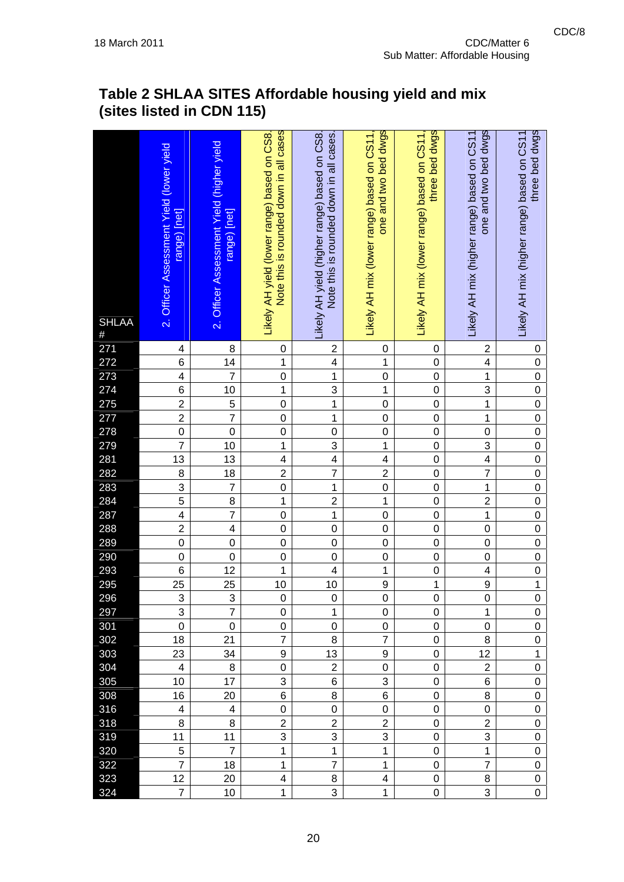| <b>SHLAA</b><br>$\#$                                 | 2. Officer Assessment Yield (lower yield<br>range) [net] | 2. Officer Assessment Yield (higher yield<br>range) [net] | Note this is rounded down in all cases<br>Likely AH yield (lower range) based on CS8. | Note this is rounded down in all cases.<br>Likely AH yield (higher range) based on CS8 | one and two bed dwgs<br>Likely AH mix (lower range) based on CS11. | three bed dwgs<br>Likely AH mix (lower range) based on CS11 | one and two bed dwgs<br>Likely AH mix (higher range) based on CS11 | three bed dwgs<br>Likely AH mix (higher range) based on CS11 |
|------------------------------------------------------|----------------------------------------------------------|-----------------------------------------------------------|---------------------------------------------------------------------------------------|----------------------------------------------------------------------------------------|--------------------------------------------------------------------|-------------------------------------------------------------|--------------------------------------------------------------------|--------------------------------------------------------------|
| 271<br>272<br>273<br>274<br>275<br>277<br>278<br>279 | $\overline{\mathbf{4}}$                                  | 8                                                         | $\mathbf 0$                                                                           | $\mathbf 2$                                                                            | 0                                                                  | 0                                                           | $\overline{\mathbf{c}}$                                            | 0                                                            |
|                                                      | 6                                                        | 14                                                        | $\mathbf{1}$                                                                          | $\overline{\mathbf{4}}$                                                                | $\overline{1}$                                                     | $\mathbf 0$                                                 | 4                                                                  | $\mathbf 0$                                                  |
|                                                      | $\overline{4}$                                           | $\overline{7}$                                            | $\mathbf 0$                                                                           | $\mathbf 1$                                                                            | $\overline{0}$                                                     | $\mathbf 0$                                                 | $\mathbf 1$                                                        | $\overline{0}$                                               |
|                                                      | 6                                                        | 10<br>$\overline{5}$                                      | 1<br>$\mathbf 0$                                                                      | 3<br>1                                                                                 | $\overline{1}$<br>$\overline{0}$                                   | $\mathbf 0$<br>$\mathbf 0$                                  | 3<br>$\overline{1}$                                                | $\mathbf 0$<br>$\overline{0}$                                |
|                                                      | $\frac{2}{2}$                                            | $\overline{7}$                                            | $\mathbf 0$                                                                           | 1                                                                                      | $\overline{0}$                                                     | $\mathbf 0$                                                 | $\mathbf 1$                                                        | $\mathbf 0$                                                  |
|                                                      |                                                          | $\overline{0}$                                            | $\mathbf 0$                                                                           | $\pmb{0}$                                                                              | $\overline{0}$                                                     | $\mathbf 0$                                                 | $\mathbf 0$                                                        | $\mathbf 0$                                                  |
|                                                      | $\overline{7}$                                           | 10                                                        | $\mathbf 1$                                                                           | 3                                                                                      | $\overline{1}$                                                     | $\mathbf 0$                                                 | 3                                                                  | $\mathbf 0$                                                  |
|                                                      | 13                                                       | 13                                                        | 4                                                                                     | $\overline{\mathbf{4}}$                                                                | $\overline{4}$                                                     | $\mathbf 0$                                                 | $\overline{\mathbf{4}}$                                            | $\overline{0}$                                               |
| 2.0<br>281<br>282<br>283<br>284                      |                                                          |                                                           | $\overline{2}$                                                                        | $\overline{7}$                                                                         | $\overline{2}$                                                     | $\overline{0}$                                              | $\overline{7}$                                                     | $\overline{0}$                                               |
|                                                      | $\frac{8}{3}$                                            | $\frac{18}{7}$                                            | $\overline{0}$                                                                        | $\mathbf 1$                                                                            | $\overline{0}$                                                     | $\overline{0}$                                              | $\overline{1}$                                                     | $\overline{0}$                                               |
|                                                      |                                                          | $\overline{8}$                                            | $\mathbf{1}$                                                                          | $\overline{2}$                                                                         | $\overline{1}$                                                     | $\mathbf 0$                                                 | $\overline{2}$                                                     | $\mathbf 0$                                                  |
|                                                      | $\overline{\mathbf{4}}$                                  | $\overline{7}$                                            | $\mathbf 0$                                                                           | $\mathbf{1}$                                                                           | $\overline{0}$                                                     | $\mathbf 0$                                                 | $\mathbf{1}$                                                       | $\mathbf 0$                                                  |
| 287<br>288<br>289<br>290<br>293                      | $\overline{2}$                                           | $\overline{\mathbf{4}}$                                   | $\mathbf 0$                                                                           | $\mathbf 0$                                                                            | $\overline{0}$                                                     | $\mathbf 0$                                                 | $\overline{0}$                                                     | $\overline{0}$                                               |
|                                                      | $\overline{0}$                                           | $\overline{0}$                                            | $\overline{0}$                                                                        | $\mathbf 0$                                                                            | $\overline{0}$                                                     | $\overline{0}$                                              | $\overline{0}$                                                     | $\overline{0}$                                               |
|                                                      | $\overline{0}$                                           | $\mathbf 0$                                               | $\mathbf 0$                                                                           | $\mathbf 0$                                                                            | $\overline{0}$                                                     | $\overline{0}$                                              | $\overline{0}$                                                     | $\mathbf 0$                                                  |
|                                                      | $\overline{6}$                                           | 12                                                        | $\mathbf 1$                                                                           | $\overline{\mathcal{L}}$                                                               | $\overline{1}$                                                     | $\mathbf 0$                                                 | 4                                                                  | $\mathbf 0$                                                  |
| 295<br>296                                           | $\overline{25}$                                          | $\overline{25}$                                           | 10                                                                                    | 10                                                                                     | $\overline{9}$                                                     | $\mathbf 1$                                                 | $\overline{9}$                                                     | $\overline{1}$                                               |
|                                                      | $\overline{3}$                                           | $\overline{3}$                                            | $\overline{0}$                                                                        | $\overline{0}$                                                                         | $\overline{0}$                                                     | $\overline{0}$                                              | $\overline{0}$                                                     | $\overline{0}$                                               |
| 297                                                  | 3                                                        | $\overline{7}$                                            | 0                                                                                     | 1                                                                                      | 0                                                                  | 0                                                           | 1                                                                  | 0                                                            |
| 301<br>302                                           | 0<br>18                                                  | 0<br>21                                                   | 0<br>$\overline{7}$                                                                   | $\mathbf 0$<br>8                                                                       | 0<br>$\overline{7}$                                                | 0<br>$\boldsymbol{0}$                                       | 0<br>8                                                             | 0<br>0                                                       |
| 303                                                  | 23                                                       | 34                                                        | 9                                                                                     | 13                                                                                     | 9                                                                  | $\mathbf 0$                                                 | 12                                                                 | $\mathbf{1}$                                                 |
| 304                                                  | 4                                                        | 8                                                         | 0                                                                                     | $\overline{2}$                                                                         | $\mathsf 0$                                                        | $\mathbf 0$                                                 | $\overline{2}$                                                     | 0                                                            |
| 305                                                  | 10                                                       | 17                                                        | 3                                                                                     | 6                                                                                      | 3                                                                  | 0                                                           | 6                                                                  | 0                                                            |
| 308                                                  | 16                                                       | 20                                                        | 6                                                                                     | 8                                                                                      | 6                                                                  | 0                                                           | 8                                                                  | 0                                                            |
| 316                                                  | $\overline{\mathbf{4}}$                                  | 4                                                         | 0                                                                                     | $\pmb{0}$                                                                              | 0                                                                  | $\pmb{0}$                                                   | $\pmb{0}$                                                          | 0                                                            |
| 318                                                  | 8                                                        | 8                                                         | $\overline{2}$                                                                        | $\overline{2}$                                                                         | $\overline{2}$                                                     | 0                                                           | $\overline{2}$                                                     | 0                                                            |
| 319                                                  | 11                                                       | 11                                                        | 3                                                                                     | 3                                                                                      | 3                                                                  | 0                                                           | 3                                                                  | 0                                                            |
| 320                                                  | 5                                                        | $\overline{7}$                                            | $\mathbf{1}$                                                                          | 1                                                                                      | $\mathbf{1}$                                                       | 0                                                           | $\mathbf{1}$                                                       | 0                                                            |
| 322                                                  | $\overline{7}$                                           | 18                                                        | 1                                                                                     | $\overline{7}$                                                                         | 1                                                                  | $\boldsymbol{0}$                                            | $\overline{7}$                                                     | 0                                                            |
| 323                                                  | 12                                                       | 20                                                        | 4                                                                                     | 8                                                                                      | 4                                                                  | 0                                                           | 8                                                                  | 0                                                            |
| 324                                                  | $\overline{7}$                                           | 10                                                        | $\mathbf{1}$                                                                          | 3                                                                                      | $\mathbf{1}$                                                       | 0                                                           | 3                                                                  | 0                                                            |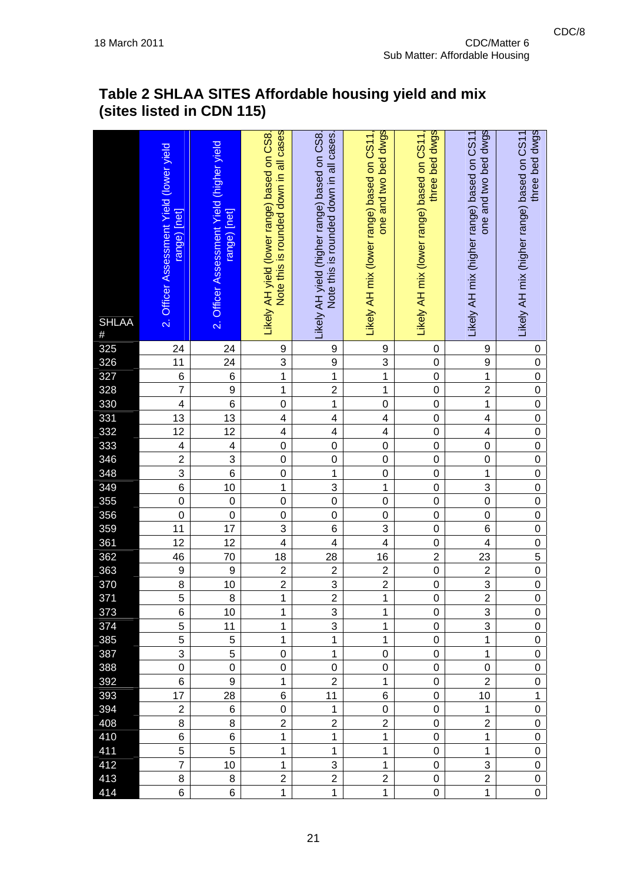| <b>SHLAA</b><br>$\#$                          | 2. Officer Assessment Yield (lower yield<br>range) [net] | 2. Officer Assessment Yield (higher yield<br>range) [net] | Note this is rounded down in all cases<br>Likely AH yield (lower range) based on CS8. | Note this is rounded down in all cases.<br>Likely AH yield (higher range) based on CS8 | one and two bed dwgs<br>Likely AH mix (lower range) based on CS11 | three bed dwgs<br>Likely AH mix (lower range) based on CS11, | one and two bed dwgs<br>Likely AH mix (higher range) based on CS11 | three bed dwgs<br>Likely AH mix (higher range) based on CS11 |
|-----------------------------------------------|----------------------------------------------------------|-----------------------------------------------------------|---------------------------------------------------------------------------------------|----------------------------------------------------------------------------------------|-------------------------------------------------------------------|--------------------------------------------------------------|--------------------------------------------------------------------|--------------------------------------------------------------|
|                                               | 24                                                       | 24                                                        | 9                                                                                     | 9                                                                                      | 9                                                                 | 0                                                            | 9                                                                  | 0                                                            |
| 325<br>326<br>327<br>328<br>330               | 11                                                       | 24                                                        | 3                                                                                     | $\boldsymbol{9}$                                                                       | $\frac{3}{1}$                                                     | $\mathbf 0$                                                  | 9                                                                  | $\mathbf 0$                                                  |
|                                               | $\frac{6}{7}$                                            | $\overline{6}$                                            | $\overline{1}$                                                                        | $\overline{1}$                                                                         | $\overline{1}$                                                    | $\mathbf 0$                                                  | $\overline{1}$                                                     | $\overline{0}$                                               |
|                                               | $\overline{\mathbf{4}}$                                  | $\overline{9}$<br>$\overline{6}$                          | $\mathbf 1$<br>$\mathbf 0$                                                            | $\overline{2}$<br>$\overline{1}$                                                       | $\overline{0}$                                                    | $\overline{0}$<br>$\mathbf 0$                                | $\overline{2}$<br>$\overline{1}$                                   | $\overline{0}$<br>$\overline{0}$                             |
|                                               | $\overline{13}$                                          | $\overline{13}$                                           | 4                                                                                     | 4                                                                                      | $\overline{4}$                                                    | $\mathbf 0$                                                  | 4                                                                  | $\overline{0}$                                               |
| 331<br>332                                    | $\overline{12}$                                          | 12                                                        | $\overline{\mathbf{4}}$                                                               | $\overline{\mathbf{4}}$                                                                | $\overline{4}$                                                    | $\mathbf 0$                                                  | 4                                                                  | $\overline{0}$                                               |
|                                               | $\overline{\mathcal{L}}$                                 | $\overline{\mathbf{4}}$                                   | $\mathbf 0$                                                                           | $\mathbf 0$                                                                            | $\mathbf 0$                                                       | $\mathbf 0$                                                  | $\overline{0}$                                                     | $\mathbf 0$                                                  |
| 333<br>346                                    | $\overline{2}$                                           | $\overline{3}$                                            | $\mathbf 0$                                                                           | $\mathbf 0$                                                                            | $\overline{0}$                                                    | $\overline{0}$                                               | $\overline{0}$                                                     | $\overline{0}$                                               |
| 348                                           |                                                          | $\overline{6}$                                            | $\mathbf 0$                                                                           | $\mathbf 1$                                                                            | $\overline{0}$                                                    | $\overline{0}$                                               | $\overline{1}$                                                     | $\overline{0}$                                               |
| 349<br>355                                    | $\frac{3}{6}$                                            | 10                                                        | $\mathbf 1$                                                                           | 3                                                                                      | $\overline{1}$                                                    | $\overline{0}$                                               | $\overline{3}$                                                     | $\overline{0}$                                               |
|                                               | $\overline{0}$                                           | $\boldsymbol{0}$                                          | $\mathbf 0$                                                                           | $\overline{0}$                                                                         | $\overline{0}$                                                    | $\mathbf 0$                                                  | $\overline{0}$                                                     | $\overline{0}$                                               |
|                                               | $\mathbf 0$                                              | $\mathbf 0$                                               | $\mathbf 0$                                                                           | $\mathbf 0$                                                                            | $\overline{0}$                                                    | $\mathbf 0$                                                  | $\mathbf 0$                                                        | $\mathbf 0$                                                  |
|                                               | 11                                                       | $\overline{17}$                                           | 3                                                                                     | 6                                                                                      | $\overline{3}$                                                    | $\mathbf 0$                                                  | 6                                                                  | $\overline{0}$                                               |
|                                               | $\overline{12}$                                          | $\overline{12}$                                           | $\overline{4}$                                                                        | $\overline{\mathbf{4}}$                                                                | $\overline{4}$                                                    | $\overline{0}$                                               | 4                                                                  | $\overline{0}$                                               |
|                                               | 46                                                       | 70                                                        | 18                                                                                    | 28                                                                                     | $\overline{16}$                                                   | $\overline{2}$                                               | 23                                                                 | $\overline{5}$                                               |
| 356<br>359<br>361<br>362<br>363<br>370<br>371 | $\overline{9}$                                           | 9                                                         | $\overline{2}$                                                                        | $\boldsymbol{2}$                                                                       | $\frac{2}{2}$                                                     | $\mathbf 0$                                                  | $\overline{\mathbf{c}}$                                            | $\overline{0}$                                               |
|                                               | $\overline{8}$                                           | $\overline{10}$                                           | $\overline{2}$                                                                        | $\overline{3}$                                                                         |                                                                   | $\mathbf 0$                                                  | $\overline{3}$                                                     | $\overline{0}$                                               |
|                                               | $\overline{5}$                                           | $\overline{8}$                                            | $\overline{1}$                                                                        | $\overline{2}$                                                                         | $\overline{1}$                                                    | $\overline{0}$                                               | $\overline{2}$                                                     | $\overline{0}$                                               |
| 373                                           | 6                                                        | 10                                                        | 1                                                                                     | 3                                                                                      | 1                                                                 | 0                                                            | 3<br>3                                                             | 0                                                            |
| 374<br>385                                    | 5<br>5                                                   | 11<br>5                                                   | $\mathbf{1}$<br>$\mathbf{1}$                                                          | 3<br>$\mathbf{1}$                                                                      | 1<br>1                                                            | 0<br>0                                                       | $\mathbf{1}$                                                       | 0<br>0                                                       |
| 387                                           | 3                                                        | 5                                                         | 0                                                                                     | $\mathbf{1}$                                                                           | 0                                                                 | 0                                                            | 1                                                                  | 0                                                            |
| 388                                           | $\mathbf 0$                                              | $\mathbf 0$                                               | 0                                                                                     | 0                                                                                      | 0                                                                 | 0                                                            | 0                                                                  | 0                                                            |
| 392                                           | 6                                                        | 9                                                         | $\mathbf{1}$                                                                          | $\overline{2}$                                                                         | $\mathbf 1$                                                       | 0                                                            | $\overline{2}$                                                     | 0                                                            |
| 393                                           | 17                                                       | 28                                                        | 6                                                                                     | 11                                                                                     | 6                                                                 | 0                                                            | 10                                                                 | 1                                                            |
| 394                                           | $\overline{2}$                                           | 6                                                         | $\pmb{0}$                                                                             | $\mathbf{1}$                                                                           | 0                                                                 | 0                                                            | $\mathbf{1}$                                                       | 0                                                            |
| 408                                           | 8                                                        | 8                                                         | $\overline{2}$                                                                        | $\overline{2}$                                                                         | $\overline{2}$                                                    | 0                                                            | $\overline{2}$                                                     | 0                                                            |
| 410                                           | 6                                                        | 6                                                         | $\mathbf{1}$                                                                          | 1                                                                                      | 1                                                                 | 0                                                            | $\mathbf{1}$                                                       | 0                                                            |
| 411                                           | 5                                                        | 5                                                         | $\mathbf{1}$                                                                          | $\mathbf{1}$                                                                           | $\mathbf{1}$                                                      | 0                                                            | $\mathbf{1}$                                                       | 0                                                            |
| 412                                           | $\overline{7}$                                           | 10                                                        | $\mathbf{1}$                                                                          | 3                                                                                      | 1                                                                 | 0                                                            | 3                                                                  | 0                                                            |
| 413                                           | 8                                                        | 8                                                         | $\overline{2}$                                                                        | $\overline{2}$                                                                         | $\overline{c}$                                                    | 0                                                            | $\overline{2}$                                                     | 0                                                            |
| 414                                           | 6                                                        | 6                                                         | $\mathbf{1}$                                                                          | $\mathbf{1}$                                                                           | $\mathbf 1$                                                       | 0                                                            | $\mathbf 1$                                                        | 0                                                            |